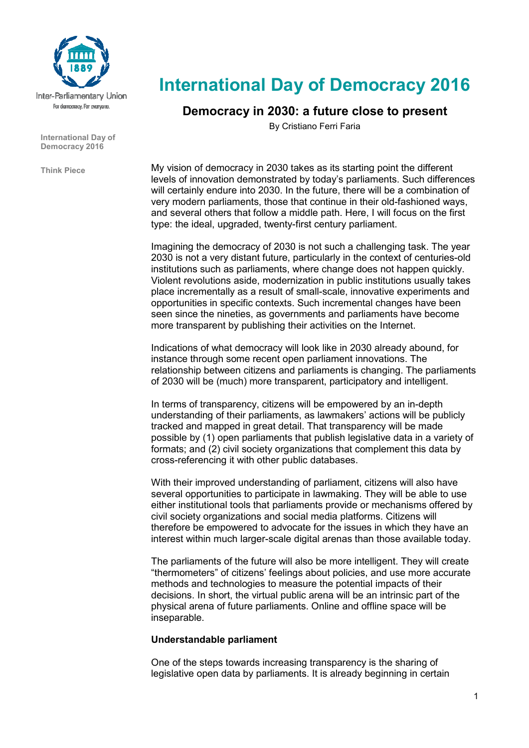

**International Day of Democracy 2016** 

**Think Piece** 

# **International Day of Democracy 2016**

## **Democracy in 2030: a future close to present**

By Cristiano Ferri Faria

My vision of democracy in 2030 takes as its starting point the different levels of innovation demonstrated by today's parliaments. Such differences will certainly endure into 2030. In the future, there will be a combination of very modern parliaments, those that continue in their old-fashioned ways, and several others that follow a middle path. Here, I will focus on the first type: the ideal, upgraded, twenty-first century parliament.

Imagining the democracy of 2030 is not such a challenging task. The year 2030 is not a very distant future, particularly in the context of centuries-old institutions such as parliaments, where change does not happen quickly. Violent revolutions aside, modernization in public institutions usually takes place incrementally as a result of small-scale, innovative experiments and opportunities in specific contexts. Such incremental changes have been seen since the nineties, as governments and parliaments have become more transparent by publishing their activities on the Internet.

Indications of what democracy will look like in 2030 already abound, for instance through some recent open parliament innovations. The relationship between citizens and parliaments is changing. The parliaments of 2030 will be (much) more transparent, participatory and intelligent.

In terms of transparency, citizens will be empowered by an in-depth understanding of their parliaments, as lawmakers' actions will be publicly tracked and mapped in great detail. That transparency will be made possible by (1) open parliaments that publish legislative data in a variety of formats; and (2) civil society organizations that complement this data by cross-referencing it with other public databases.

With their improved understanding of parliament, citizens will also have several opportunities to participate in lawmaking. They will be able to use either institutional tools that parliaments provide or mechanisms offered by civil society organizations and social media platforms. Citizens will therefore be empowered to advocate for the issues in which they have an interest within much larger-scale digital arenas than those available today.

The parliaments of the future will also be more intelligent. They will create "thermometers" of citizens' feelings about policies, and use more accurate methods and technologies to measure the potential impacts of their decisions. In short, the virtual public arena will be an intrinsic part of the physical arena of future parliaments. Online and offline space will be inseparable.

### **Understandable parliament**

One of the steps towards increasing transparency is the sharing of legislative open data by parliaments. It is already beginning in certain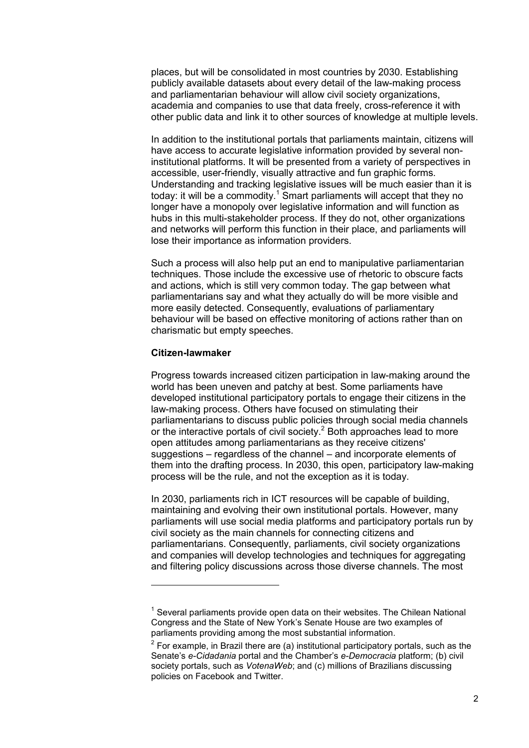places, but will be consolidated in most countries by 2030. Establishing publicly available datasets about every detail of the law-making process and parliamentarian behaviour will allow civil society organizations, academia and companies to use that data freely, cross-reference it with other public data and link it to other sources of knowledge at multiple levels.

In addition to the institutional portals that parliaments maintain, citizens will have access to accurate legislative information provided by several noninstitutional platforms. It will be presented from a variety of perspectives in accessible, user-friendly, visually attractive and fun graphic forms. Understanding and tracking legislative issues will be much easier than it is today: it will be a commodity.<sup>1</sup> Smart parliaments will accept that they no longer have a monopoly over legislative information and will function as hubs in this multi-stakeholder process. If they do not, other organizations and networks will perform this function in their place, and parliaments will lose their importance as information providers.

Such a process will also help put an end to manipulative parliamentarian techniques. Those include the excessive use of rhetoric to obscure facts and actions, which is still very common today. The gap between what parliamentarians say and what they actually do will be more visible and more easily detected. Consequently, evaluations of parliamentary behaviour will be based on effective monitoring of actions rather than on charismatic but empty speeches.

#### **Citizen-lawmaker**

l

Progress towards increased citizen participation in law-making around the world has been uneven and patchy at best. Some parliaments have developed institutional participatory portals to engage their citizens in the law-making process. Others have focused on stimulating their parliamentarians to discuss public policies through social media channels or the interactive portals of civil society. $2$  Both approaches lead to more open attitudes among parliamentarians as they receive citizens' suggestions – regardless of the channel – and incorporate elements of them into the drafting process. In 2030, this open, participatory law-making process will be the rule, and not the exception as it is today.

In 2030, parliaments rich in ICT resources will be capable of building, maintaining and evolving their own institutional portals. However, many parliaments will use social media platforms and participatory portals run by civil society as the main channels for connecting citizens and parliamentarians. Consequently, parliaments, civil society organizations and companies will develop technologies and techniques for aggregating and filtering policy discussions across those diverse channels. The most

<sup>&</sup>lt;sup>1</sup> Several parliaments provide open data on their websites. The Chilean National Congress and the State of New York's Senate House are two examples of parliaments providing among the most substantial information.

 $2$  For example, in Brazil there are (a) institutional participatory portals, such as the Senate's *e-Cidadania* portal and the Chamber's *e-Democracia* platform; (b) civil society portals, such as *VotenaWeb*; and (c) millions of Brazilians discussing policies on Facebook and Twitter.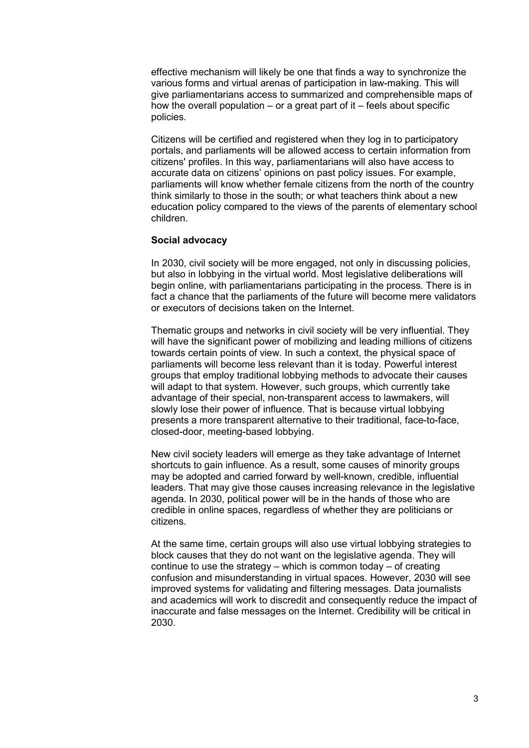effective mechanism will likely be one that finds a way to synchronize the various forms and virtual arenas of participation in law-making. This will give parliamentarians access to summarized and comprehensible maps of how the overall population – or a great part of  $it$  – feels about specific policies.

Citizens will be certified and registered when they log in to participatory portals, and parliaments will be allowed access to certain information from citizens' profiles. In this way, parliamentarians will also have access to accurate data on citizens' opinions on past policy issues. For example, parliaments will know whether female citizens from the north of the country think similarly to those in the south; or what teachers think about a new education policy compared to the views of the parents of elementary school children.

#### **Social advocacy**

In 2030, civil society will be more engaged, not only in discussing policies, but also in lobbying in the virtual world. Most legislative deliberations will begin online, with parliamentarians participating in the process. There is in fact a chance that the parliaments of the future will become mere validators or executors of decisions taken on the Internet.

Thematic groups and networks in civil society will be very influential. They will have the significant power of mobilizing and leading millions of citizens towards certain points of view. In such a context, the physical space of parliaments will become less relevant than it is today. Powerful interest groups that employ traditional lobbying methods to advocate their causes will adapt to that system. However, such groups, which currently take advantage of their special, non-transparent access to lawmakers, will slowly lose their power of influence. That is because virtual lobbying presents a more transparent alternative to their traditional, face-to-face, closed-door, meeting-based lobbying.

New civil society leaders will emerge as they take advantage of Internet shortcuts to gain influence. As a result, some causes of minority groups may be adopted and carried forward by well-known, credible, influential leaders. That may give those causes increasing relevance in the legislative agenda. In 2030, political power will be in the hands of those who are credible in online spaces, regardless of whether they are politicians or citizens.

At the same time, certain groups will also use virtual lobbying strategies to block causes that they do not want on the legislative agenda. They will continue to use the strategy – which is common today – of creating confusion and misunderstanding in virtual spaces. However, 2030 will see improved systems for validating and filtering messages. Data journalists and academics will work to discredit and consequently reduce the impact of inaccurate and false messages on the Internet. Credibility will be critical in 2030.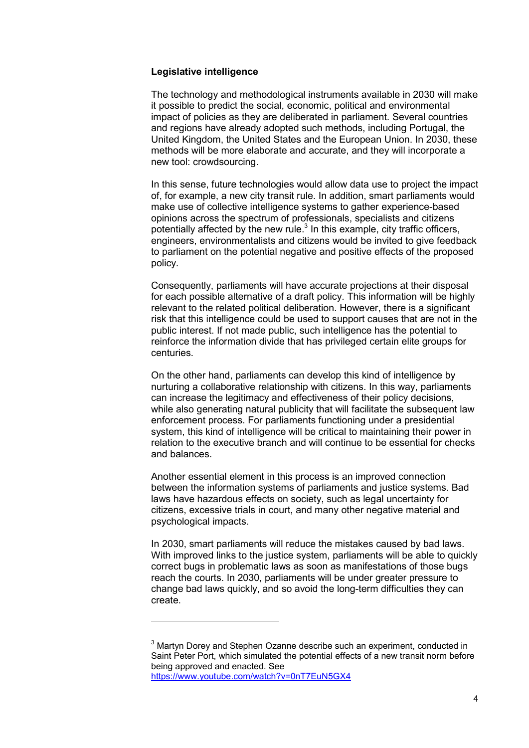#### **Legislative intelligence**

l

The technology and methodological instruments available in 2030 will make it possible to predict the social, economic, political and environmental impact of policies as they are deliberated in parliament. Several countries and regions have already adopted such methods, including Portugal, the United Kingdom, the United States and the European Union. In 2030, these methods will be more elaborate and accurate, and they will incorporate a new tool: crowdsourcing.

In this sense, future technologies would allow data use to project the impact of, for example, a new city transit rule. In addition, smart parliaments would make use of collective intelligence systems to gather experience-based opinions across the spectrum of professionals, specialists and citizens potentially affected by the new rule. $3$  In this example, city traffic officers, engineers, environmentalists and citizens would be invited to give feedback to parliament on the potential negative and positive effects of the proposed policy.

Consequently, parliaments will have accurate projections at their disposal for each possible alternative of a draft policy. This information will be highly relevant to the related political deliberation. However, there is a significant risk that this intelligence could be used to support causes that are not in the public interest. If not made public, such intelligence has the potential to reinforce the information divide that has privileged certain elite groups for centuries.

On the other hand, parliaments can develop this kind of intelligence by nurturing a collaborative relationship with citizens. In this way, parliaments can increase the legitimacy and effectiveness of their policy decisions, while also generating natural publicity that will facilitate the subsequent law enforcement process. For parliaments functioning under a presidential system, this kind of intelligence will be critical to maintaining their power in relation to the executive branch and will continue to be essential for checks and balances.

Another essential element in this process is an improved connection between the information systems of parliaments and justice systems. Bad laws have hazardous effects on society, such as legal uncertainty for citizens, excessive trials in court, and many other negative material and psychological impacts.

In 2030, smart parliaments will reduce the mistakes caused by bad laws. With improved links to the justice system, parliaments will be able to quickly correct bugs in problematic laws as soon as manifestations of those bugs reach the courts. In 2030, parliaments will be under greater pressure to change bad laws quickly, and so avoid the long-term difficulties they can create.

4

 $3$  Martyn Dorey and Stephen Ozanne describe such an experiment, conducted in Saint Peter Port, which simulated the potential effects of a new transit norm before being approved and enacted. See https://www.youtube.com/watch?v=0nT7EuN5GX4